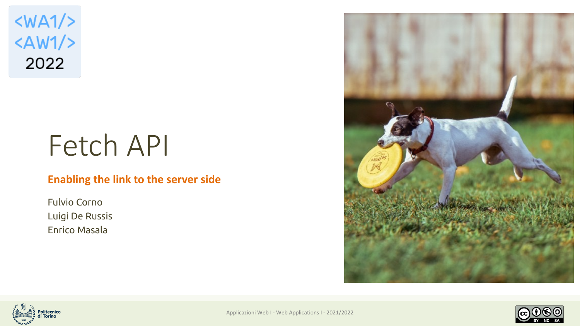$<$ WA1/>  $<$ AW1/> 2022

# Fetch API

#### **Enabling the link to the server side**

Fulvio Corno Luigi De Russis Enrico Masala







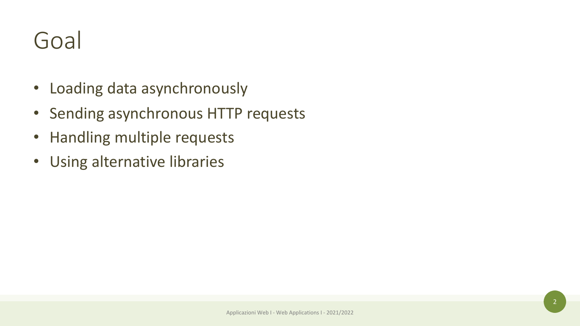# Goal

- Loading data asynchronously
- Sending asynchronous HTTP requests
- Handling multiple requests
- Using alternative libraries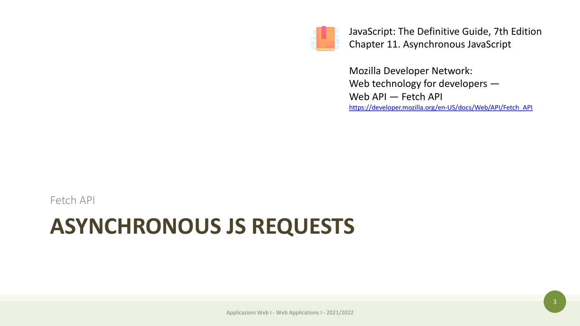

JavaS Chap

Mozi Web Web https:/

# **ASYNCHRONOUS JS REQUESTS**

Fetch API

Applicazioni Web I - Web Applications I - 2021/2022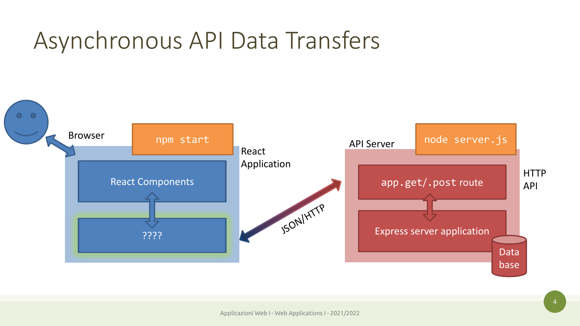#### Asynchronous API Data Transfers

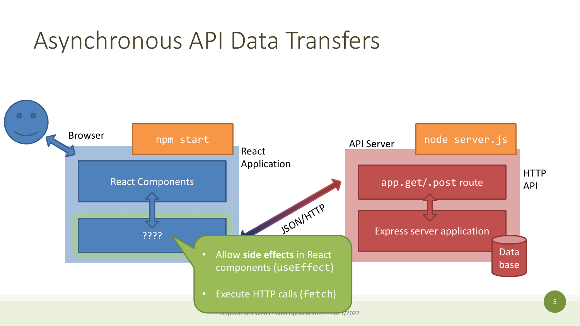#### Asynchronous API Data Transfers

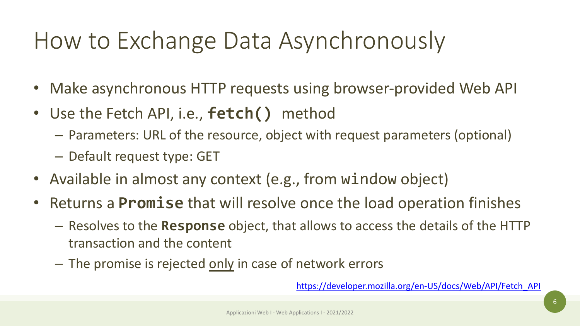# How to Exchange Data Asynchro

- Make asynchronous HTTP requests using brow
- Use the Fetch API, i.e., **fetch()** method
	- Parameters: URL of the resource, object with reque
	- Default request type: GET
- Available in almost any context (e.g., from win
- Returns a **Promise** that will resolve once the load
	- $-$  Resolves to the **Response** object, that allows to ac transaction and the content
	- The promise is rejected only in case of network errors

https://developer.r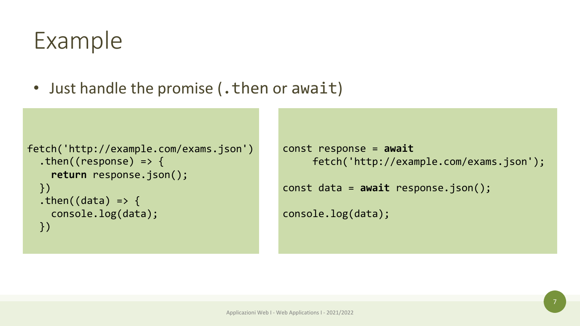# Example

• Just handle the promise (. then or await)

```
fetch('http://example.com/exams.json')
  .then((response) => {
    return response.json();
 })
  .then((data) => {
    console.log(data);
  })
```

```
const response = await
    fetch('http://example.com/exams.json');
const data = await response.json();
console.log(data);
```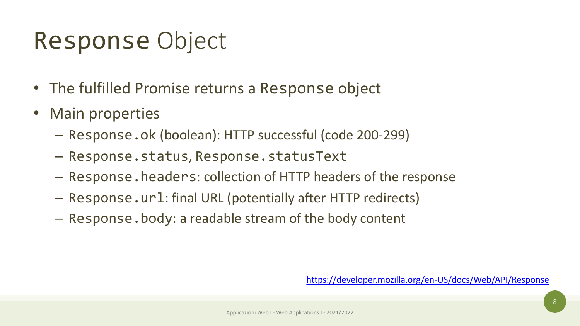# Response Object

- The fulfilled Promise returns a Response obje
- Main properties
	- $-$  Response.ok (boolean): HTTP successful (code 20
	- Response.status, Response.statusText
	- Response.headers: collection of HTTP headers of
	- Response.url: final URL (potentially after HTTP re
	- Response.body: a readable stream of the body content

https://develope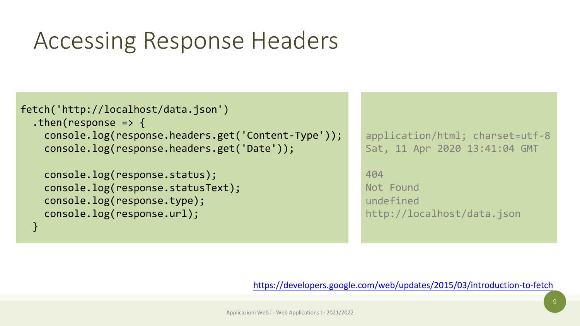# Accessing Response Headers

```
fetch('http://localhost/data.json')
  .then(response => \{console.log(response.headers.get('Content-Type'));
    console.log(response.headers.get('Date'));
    console.log(response.status);
    console.log(response.statusText);
    console.log(response.type);
    console.log(response.url);
  }
```
 $\overline{c}$ 

 $\overline{\mathsf{S}}$ 

http://www.com/controll-<br>between the controllers of the controllers of the controllers of the controllers of the controllers of the con<br>controllers of the controllers of the controllers of the controllers of the controller

404

 $\mathsf{N}$ 

 $\cup$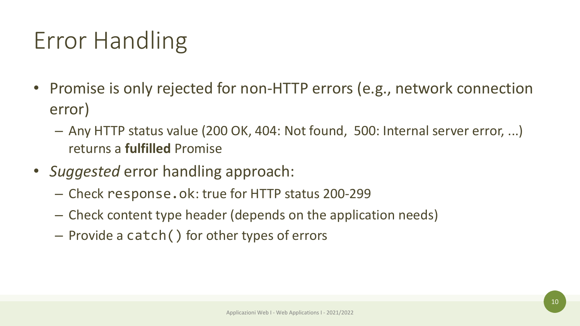# Error Handling

- Promise is only rejected for non-HTTP errors (e.g., network connection error)
	- Any HTTP status value (200 OK, 404: Not found, 500: Internal server error, ...) returns a **fulfilled** Promise
- *Suggested* error handling approach:
	- Check response.ok: true for HTTP status 200-299
	- Check content type header (depends on the application needs)
	- Provide a catch() for other types of errors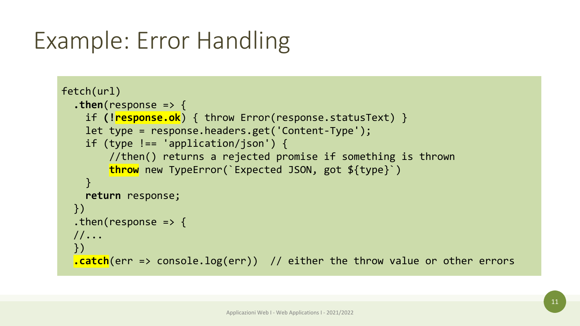# Example: Error Handling

```
fetch(url)
  .then(response => {
    if (!response.ok) { throw Error(response.statusText) }
    let type = response.headers.get('Content-Type');
    if (type !== 'application/json') {
        //then() returns a rejected promise if something is thrown
        throw new TypeError(`Expected JSON, got ${type}`)
    }
    return response;
  })
  .then(response => \{//...
  })
  .catch(err => console.log(err)) // either the throw value or other errors
```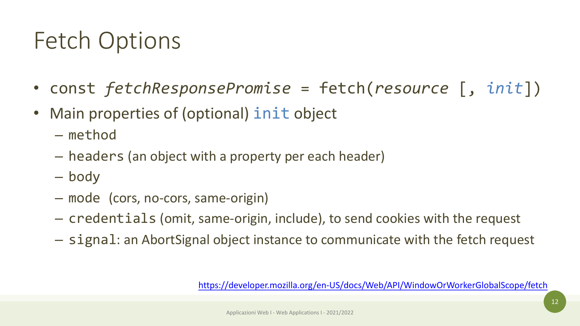# Fetch Options

- const *fetchResponsePromise* = fetch(
- Main properties of (optional) init object
	- method
	- headers (an object with a property per each head
	- body
	- mode (cors, no-cors, same-origin)
	- $-$  credentials (omit, same-origin, include), to send
	- $-$  signal: an AbortSignal object instance to commur

https://developer.mozilla.org/en-US/docs/V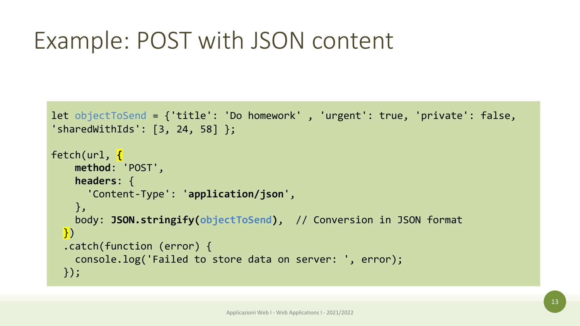# Example: POST with JSON content

```
let objectToSend = {'title': 'Do homework' , 'urgent': true, 'private': false, 
'sharedWithIds': [3, 24, 58] };
fetch(url, {
    method: 'POST',
    headers: {
      'Content-Type': 'application/json',
    },
    body: JSON.stringify(objectToSend), // Conversion in JSON format
  \left| \cdot \right|.catch(function (error) {
    console.log('Failed to store data on server: ', error);
  });
```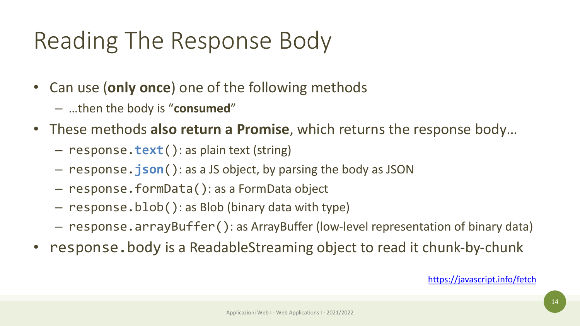# Reading The Response Body

- Can use (**only once**) one of the following methods
	- …then the body is "**consumed**"
- These methods also return a Promise, which return
	- response.**text**(): as plain text (string)
	- $-$  response. **json**(): as a JS object, by parsing the body
	- response.formData(): as a FormData object
	- response.blob(): as Blob (binary data with type)
	- response.arrayBuffer(): as ArrayBuffer (low-level
- response.body is a ReadableStreaming object to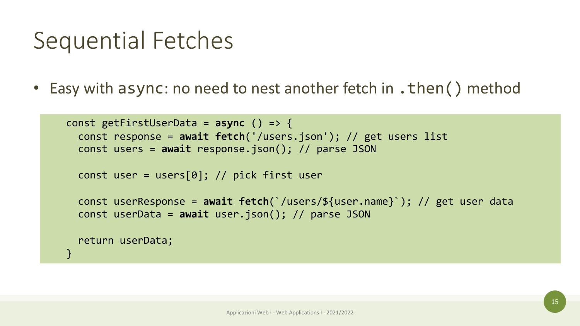#### Sequential Fetches

• Easy with async: no need to nest another fetch in . then () method

```
const getFirstUserData = async () => {
  const response = await fetch('/users.json'); // get users list
  const users = await response.json(); // parse JSON
```

```
const user = users[0]; // pick first user
```

```
const userResponse = await fetch(`/users/${user.name}`); // get user data
const userData = await user.json(); // parse JSON
```

```
return userData;
```
}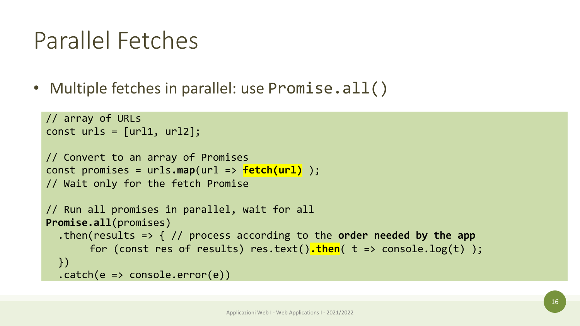#### Parallel Fetches

• Multiple fetches in parallel: use Promise.all()

```
// array of URLs
const urls = [url1, url2];// Convert to an array of Promises
const promises = urls.map(url => fetch(url) );
// Wait only for the fetch Promise
// Run all promises in parallel, wait for all
Promise.all(promises)
  .then(results => { // process according to the order needed by the app
       for (const res of results) res.text().then( t => console.log(t) ); 
  })
  .catch(e \Rightarrow console_error(e))
```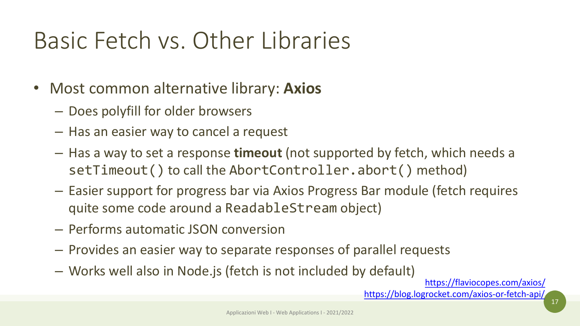# Basic Fetch vs. Other Libraries

- Most common alternative library: **Axios**
	- Does polyfill for older browsers
	- Has an easier way to cancel a request
	- $-$  Has a way to set a response timeout (not supported setTimeout() to call the AbortController.abort
	- $-$  Easier support for progress bar via Axios Progress B quite some code around a ReadableStream objed
	- Performs automatic JSON conversion
	- Provides an easier way to separate responses of parallel
	- Works well also in Node.js (fetch is not included by

 $h$